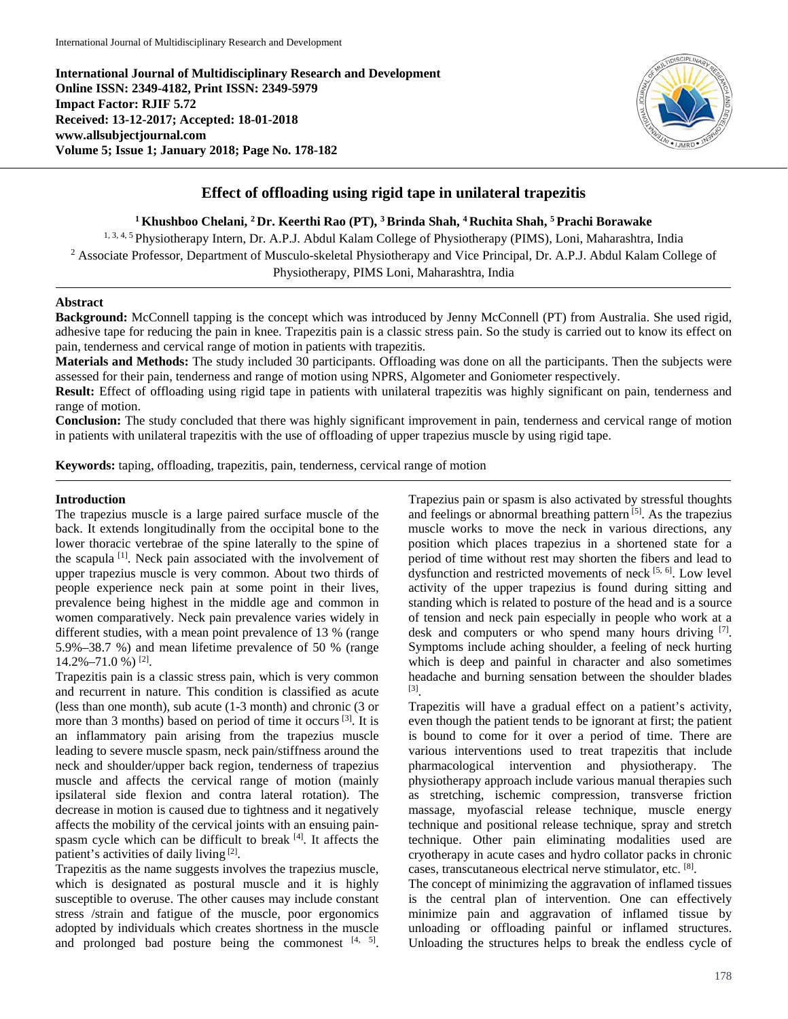**International Journal of Multidisciplinary Research and Development Online ISSN: 2349-4182, Print ISSN: 2349-5979 Impact Factor: RJIF 5.72 Received: 13-12-2017; Accepted: 18-01-2018 www.allsubjectjournal.com Volume 5; Issue 1; January 2018; Page No. 178-182**



# **Effect of offloading using rigid tape in unilateral trapezitis**

**1 Khushboo Chelani, 2 Dr. Keerthi Rao (PT), 3 Brinda Shah, 4 Ruchita Shah, 5 Prachi Borawake**

1, 3, 4, 5 Physiotherapy Intern, Dr. A.P.J. Abdul Kalam College of Physiotherapy (PIMS), Loni, Maharashtra, India <sup>2</sup> Associate Professor, Department of Musculo-skeletal Physiotherapy and Vice Principal, Dr. A.P.J. Abdul Kalam College of Physiotherapy, PIMS Loni, Maharashtra, India

### **Abstract**

**Background:** McConnell tapping is the concept which was introduced by Jenny McConnell (PT) from Australia. She used rigid, adhesive tape for reducing the pain in knee. Trapezitis pain is a classic stress pain. So the study is carried out to know its effect on pain, tenderness and cervical range of motion in patients with trapezitis.

**Materials and Methods:** The study included 30 participants. Offloading was done on all the participants. Then the subjects were assessed for their pain, tenderness and range of motion using NPRS, Algometer and Goniometer respectively.

**Result:** Effect of offloading using rigid tape in patients with unilateral trapezitis was highly significant on pain, tenderness and range of motion.

**Conclusion:** The study concluded that there was highly significant improvement in pain, tenderness and cervical range of motion in patients with unilateral trapezitis with the use of offloading of upper trapezius muscle by using rigid tape.

**Keywords:** taping, offloading, trapezitis, pain, tenderness, cervical range of motion

### **Introduction**

The trapezius muscle is a large paired surface muscle of the back. It extends longitudinally from the occipital bone to the lower thoracic vertebrae of the spine laterally to the spine of the scapula<sup>[1]</sup>. Neck pain associated with the involvement of upper trapezius muscle is very common. About two thirds of people experience neck pain at some point in their lives, prevalence being highest in the middle age and common in women comparatively. Neck pain prevalence varies widely in different studies, with a mean point prevalence of 13 % (range 5.9%–38.7 %) and mean lifetime prevalence of 50 % (range 14.2%–71.0 %) [2] .

Trapezitis pain is a classic stress pain, which is very common and recurrent in nature. This condition is classified as acute (less than one month), sub acute (1-3 month) and chronic (3 or more than 3 months) based on period of time it occurs<sup>[3]</sup>. It is an inflammatory pain arising from the trapezius muscle leading to severe muscle spasm, neck pain/stiffness around the neck and shoulder/upper back region, tenderness of trapezius muscle and affects the cervical range of motion (mainly ipsilateral side flexion and contra lateral rotation). The decrease in motion is caused due to tightness and it negatively affects the mobility of the cervical joints with an ensuing painspasm cycle which can be difficult to break [4]. It affects the patient's activities of daily living [2].

Trapezitis as the name suggests involves the trapezius muscle, which is designated as postural muscle and it is highly susceptible to overuse. The other causes may include constant stress /strain and fatigue of the muscle, poor ergonomics adopted by individuals which creates shortness in the muscle and prolonged bad posture being the commonest  $[4, 5]$ .

Trapezius pain or spasm is also activated by stressful thoughts and feelings or abnormal breathing pattern<sup>[5]</sup>. As the trapezius muscle works to move the neck in various directions, any position which places trapezius in a shortened state for a period of time without rest may shorten the fibers and lead to dysfunction and restricted movements of neck [5, 6]. Low level activity of the upper trapezius is found during sitting and standing which is related to posture of the head and is a source of tension and neck pain especially in people who work at a desk and computers or who spend many hours driving [7]. Symptoms include aching shoulder, a feeling of neck hurting which is deep and painful in character and also sometimes headache and burning sensation between the shoulder blades [3] .

Trapezitis will have a gradual effect on a patient's activity, even though the patient tends to be ignorant at first; the patient is bound to come for it over a period of time. There are various interventions used to treat trapezitis that include pharmacological intervention and physiotherapy. The physiotherapy approach include various manual therapies such as stretching, ischemic compression, transverse friction massage, myofascial release technique, muscle energy technique and positional release technique, spray and stretch technique. Other pain eliminating modalities used are cryotherapy in acute cases and hydro collator packs in chronic cases, transcutaneous electrical nerve stimulator, etc. [8] .

The concept of minimizing the aggravation of inflamed tissues is the central plan of intervention. One can effectively minimize pain and aggravation of inflamed tissue by unloading or offloading painful or inflamed structures. Unloading the structures helps to break the endless cycle of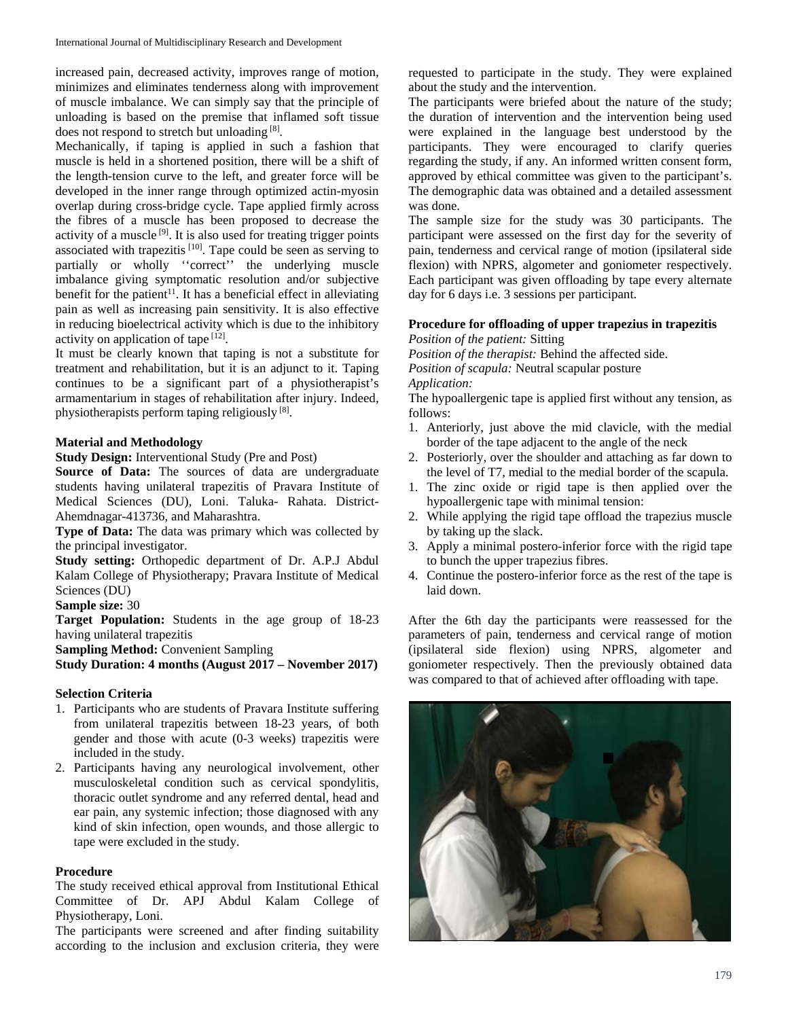increased pain, decreased activity, improves range of motion, minimizes and eliminates tenderness along with improvement of muscle imbalance. We can simply say that the principle of unloading is based on the premise that inflamed soft tissue does not respond to stretch but unloading [8].

Mechanically, if taping is applied in such a fashion that muscle is held in a shortened position, there will be a shift of the length-tension curve to the left, and greater force will be developed in the inner range through optimized actin-myosin overlap during cross-bridge cycle. Tape applied firmly across the fibres of a muscle has been proposed to decrease the activity of a muscle<sup>[9]</sup>. It is also used for treating trigger points associated with trapezitis<sup>[10]</sup>. Tape could be seen as serving to partially or wholly "correct" the underlying muscle imbalance giving symptomatic resolution and/or subjective benefit for the patient<sup>11</sup>. It has a beneficial effect in alleviating pain as well as increasing pain sensitivity. It is also effective in reducing bioelectrical activity which is due to the inhibitory activity on application of tape [12].

It must be clearly known that taping is not a substitute for treatment and rehabilitation, but it is an adjunct to it. Taping continues to be a significant part of a physiotherapist's armamentarium in stages of rehabilitation after injury. Indeed, physiotherapists perform taping religiously<sup>[8]</sup>.

### **Material and Methodology**

**Study Design:** Interventional Study (Pre and Post)

**Source of Data:** The sources of data are undergraduate students having unilateral trapezitis of Pravara Institute of Medical Sciences (DU), Loni. Taluka- Rahata. District-Ahemdnagar-413736, and Maharashtra.

**Type of Data:** The data was primary which was collected by the principal investigator.

**Study setting:** Orthopedic department of Dr. A.P.J Abdul Kalam College of Physiotherapy; Pravara Institute of Medical Sciences (DU)

**Sample size:** 30

**Target Population:** Students in the age group of 18-23 having unilateral trapezitis

**Sampling Method:** Convenient Sampling

**Study Duration: 4 months (August 2017 – November 2017)**

## **Selection Criteria**

- 1. Participants who are students of Pravara Institute suffering from unilateral trapezitis between 18-23 years, of both gender and those with acute (0-3 weeks) trapezitis were included in the study.
- 2. Participants having any neurological involvement, other musculoskeletal condition such as cervical spondylitis, thoracic outlet syndrome and any referred dental, head and ear pain, any systemic infection; those diagnosed with any kind of skin infection, open wounds, and those allergic to tape were excluded in the study.

### **Procedure**

The study received ethical approval from Institutional Ethical Committee of Dr. APJ Abdul Kalam College of Physiotherapy, Loni.

The participants were screened and after finding suitability according to the inclusion and exclusion criteria, they were requested to participate in the study. They were explained about the study and the intervention.

The participants were briefed about the nature of the study; the duration of intervention and the intervention being used were explained in the language best understood by the participants. They were encouraged to clarify queries regarding the study, if any. An informed written consent form, approved by ethical committee was given to the participant's. The demographic data was obtained and a detailed assessment was done.

The sample size for the study was 30 participants. The participant were assessed on the first day for the severity of pain, tenderness and cervical range of motion (ipsilateral side flexion) with NPRS, algometer and goniometer respectively. Each participant was given offloading by tape every alternate day for 6 days i.e. 3 sessions per participant.

#### **Procedure for offloading of upper trapezius in trapezitis** *Position of the patient:* Sitting

*Position of the therapist:* Behind the affected side. *Position of scapula:* Neutral scapular posture

*Application:*

The hypoallergenic tape is applied first without any tension, as follows:

- 1. Anteriorly, just above the mid clavicle, with the medial border of the tape adjacent to the angle of the neck
- 2. Posteriorly, over the shoulder and attaching as far down to the level of T7, medial to the medial border of the scapula.
- 1. The zinc oxide or rigid tape is then applied over the hypoallergenic tape with minimal tension:
- 2. While applying the rigid tape offload the trapezius muscle by taking up the slack.
- 3. Apply a minimal postero-inferior force with the rigid tape to bunch the upper trapezius fibres.
- 4. Continue the postero-inferior force as the rest of the tape is laid down.

After the 6th day the participants were reassessed for the parameters of pain, tenderness and cervical range of motion (ipsilateral side flexion) using NPRS, algometer and goniometer respectively. Then the previously obtained data was compared to that of achieved after offloading with tape.

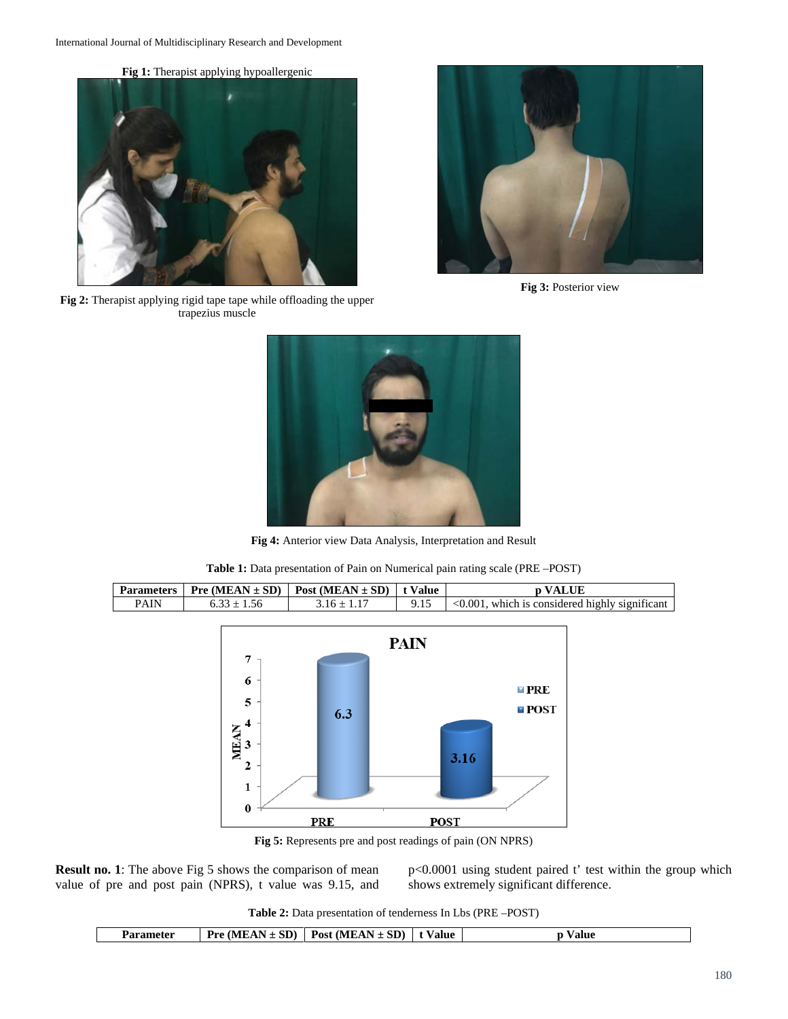**Fig 1:** Therapist applying hypoallergenic



**Fig 2:** Therapist applying rigid tape tape while offloading the upper trapezius muscle



**Fig 3:** Posterior view



**Fig 4:** Anterior view Data Analysis, Interpretation and Result



**Table 1:** Data presentation of Pain on Numerical pain rating scale (PRE –POST)

**Fig 5:** Represents pre and post readings of pain (ON NPRS)

**Result no. 1**: The above Fig 5 shows the comparison of mean value of pre and post pain (NPRS), t value was 9.15, and p<0.0001 using student paired t' test within the group which shows extremely significant difference.

**Table 2:** Data presentation of tenderness In Lbs (PRE –POST)

| Parameter | : SD)<br><b>(MEAN)</b><br><b>Pre</b><br>- | Post (MEAN $\pm$ SD) | t Value | ∀alue ≀ |
|-----------|-------------------------------------------|----------------------|---------|---------|
|-----------|-------------------------------------------|----------------------|---------|---------|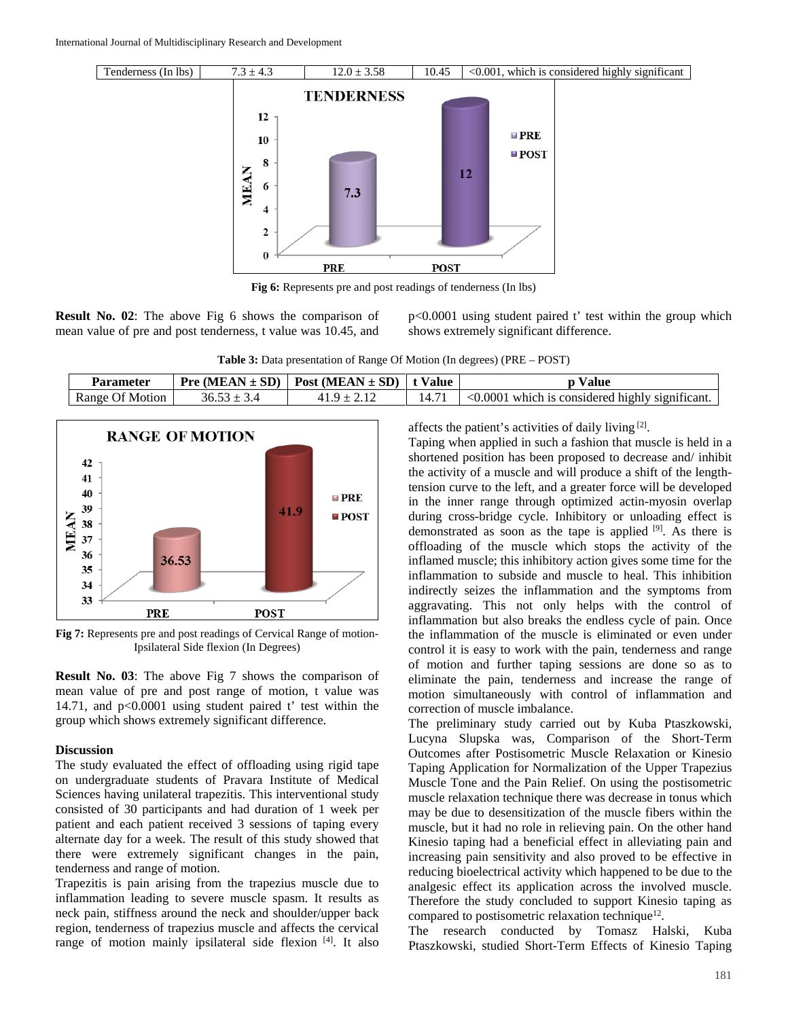

**Fig 6:** Represents pre and post readings of tenderness (In lbs)

**Result No. 02**: The above Fig 6 shows the comparison of mean value of pre and post tenderness, t value was 10.45, and p<0.0001 using student paired t' test within the group which shows extremely significant difference.

**Table 3:** Data presentation of Range Of Motion (In degrees) (PRE – POST)

| Parameter       | <b>Pre</b> (MEAN $\pm$ SD)   Post (MEAN $\pm$ SD)   t Value | Value                                                 |
|-----------------|-------------------------------------------------------------|-------------------------------------------------------|
| Range Of Motion |                                                             | $\leq 0.0001$ which is considered highly significant. |



**Fig 7:** Represents pre and post readings of Cervical Range of motion-Ipsilateral Side flexion (In Degrees)

**Result No. 03**: The above Fig 7 shows the comparison of mean value of pre and post range of motion, t value was 14.71, and p<0.0001 using student paired t' test within the group which shows extremely significant difference.

### **Discussion**

The study evaluated the effect of offloading using rigid tape on undergraduate students of Pravara Institute of Medical Sciences having unilateral trapezitis. This interventional study consisted of 30 participants and had duration of 1 week per patient and each patient received 3 sessions of taping every alternate day for a week. The result of this study showed that there were extremely significant changes in the pain, tenderness and range of motion.

Trapezitis is pain arising from the trapezius muscle due to inflammation leading to severe muscle spasm. It results as neck pain, stiffness around the neck and shoulder/upper back region, tenderness of trapezius muscle and affects the cervical range of motion mainly ipsilateral side flexion [4]. It also affects the patient's activities of daily living [2].

Taping when applied in such a fashion that muscle is held in a shortened position has been proposed to decrease and/ inhibit the activity of a muscle and will produce a shift of the lengthtension curve to the left, and a greater force will be developed in the inner range through optimized actin-myosin overlap during cross-bridge cycle. Inhibitory or unloading effect is demonstrated as soon as the tape is applied [9]. As there is offloading of the muscle which stops the activity of the inflamed muscle; this inhibitory action gives some time for the inflammation to subside and muscle to heal. This inhibition indirectly seizes the inflammation and the symptoms from aggravating. This not only helps with the control of inflammation but also breaks the endless cycle of pain. Once the inflammation of the muscle is eliminated or even under control it is easy to work with the pain, tenderness and range of motion and further taping sessions are done so as to eliminate the pain, tenderness and increase the range of motion simultaneously with control of inflammation and correction of muscle imbalance.

The preliminary study carried out by Kuba Ptaszkowski, Lucyna Slupska was, Comparison of the Short-Term Outcomes after Postisometric Muscle Relaxation or Kinesio Taping Application for Normalization of the Upper Trapezius Muscle Tone and the Pain Relief. On using the postisometric muscle relaxation technique there was decrease in tonus which may be due to desensitization of the muscle fibers within the muscle, but it had no role in relieving pain. On the other hand Kinesio taping had a beneficial effect in alleviating pain and increasing pain sensitivity and also proved to be effective in reducing bioelectrical activity which happened to be due to the analgesic effect its application across the involved muscle. Therefore the study concluded to support Kinesio taping as compared to postisometric relaxation technique<sup>12</sup>.

The research conducted by Tomasz Halski, Kuba Ptaszkowski, studied Short-Term Effects of Kinesio Taping